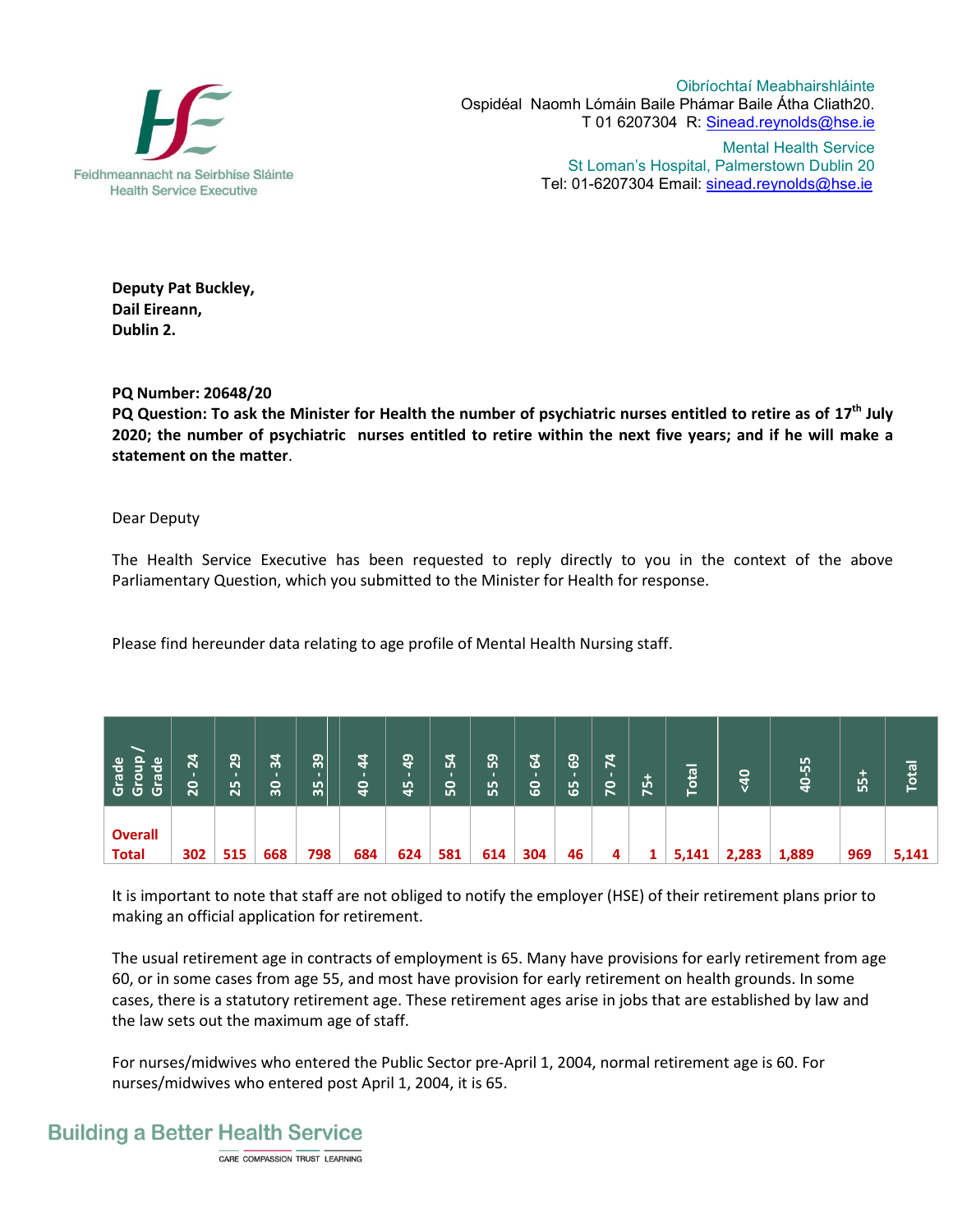

Oibríochtaí Meabhairshláinte Ospidéal Naomh Lómáin Baile Phámar Baile Átha Cliath20. T 01 6207304 R: Sinead.reynolds@hse.ie

Mental Health Service St Loman's Hospital, Palmerstown Dublin 20 Tel: 01-6207304 Email: sinead.reynolds@hse.ie

**Deputy Pat Buckley, Dail Eireann, Dublin 2.**

## **PQ Number: 20648/20**

**PQ Question: To ask the Minister for Health the number of psychiatric nurses entitled to retire as of 17th July 2020; the number of psychiatric nurses entitled to retire within the next five years; and if he will make a statement on the matter**.

## Dear Deputy

The Health Service Executive has been requested to reply directly to you in the context of the above Parliamentary Question, which you submitted to the Minister for Health for response.

Please find hereunder data relating to age profile of Mental Health Nursing staff.

| <b>Group</b><br>Grade<br>Grade<br>Group | 24<br>20 | 29<br>25 | $\frac{34}{3}$<br>30 | 39<br>35 | $\frac{4}{4}$<br>$\mathsf{a}$ | $\frac{9}{4}$<br>45 | 54<br><b>So</b> | 59<br>55 | $\mathfrak{a}$<br><b>GO</b> | 69<br>65 | $\overline{7}$<br>$\overline{2}$ | ÷<br>ம்<br>E | $\overline{a}$<br>Ó<br>5 | $rac{40}{5}$ | 55<br>q<br>4 | 55+ | Total |
|-----------------------------------------|----------|----------|----------------------|----------|-------------------------------|---------------------|-----------------|----------|-----------------------------|----------|----------------------------------|--------------|--------------------------|--------------|--------------|-----|-------|
| <b>Overall</b><br><b>Total</b>          | 302      | 515      | 668                  | 798      | 684                           | 624                 | 581             | 614      | 304                         | 46       | 4                                |              | 5,141                    | 2,283        | 1,889        | 969 | 5,141 |

It is important to note that staff are not obliged to notify the employer (HSE) of their retirement plans prior to making an official application for retirement.

The usual retirement age in contracts of employment is 65. Many have provisions for early retirement from age 60, or in some cases from age 55, and most have provision for early retirement on health grounds. In some cases, there is a statutory retirement age. These retirement ages arise in jobs that are established by law and the law sets out the maximum age of staff.

For nurses/midwives who entered the Public Sector pre-April 1, 2004, normal retirement age is 60. For nurses/midwives who entered post April 1, 2004, it is 65.